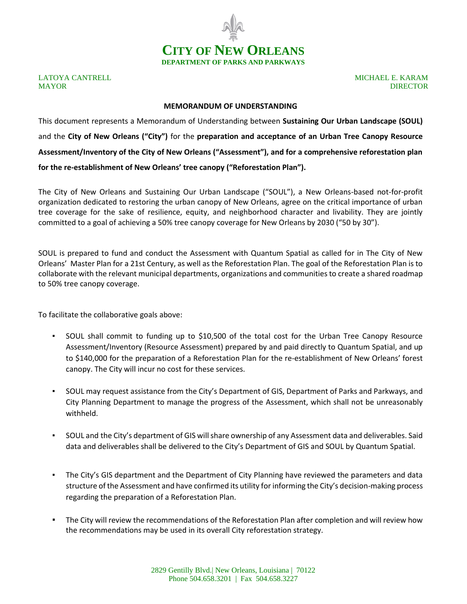## **CITY OF NEW ORLEANS DEPARTMENT OF PARKS AND PARKWAYS**

## LATOYA CANTRELL SERVICE OF THE SERVICE OF THE MICHAEL E. KARAM MAYORDIRECTOR

## **MEMORANDUM OF UNDERSTANDING**

This document represents a Memorandum of Understanding between **Sustaining Our Urban Landscape (SOUL)**  and the **City of New Orleans ("City")** for the **preparation and acceptance of an Urban Tree Canopy Resource Assessment/Inventory of the City of New Orleans ("Assessment"), and for a comprehensive reforestation plan for the re-establishment of New Orleans' tree canopy ("Reforestation Plan").**

The City of New Orleans and Sustaining Our Urban Landscape ("SOUL"), a New Orleans-based not-for-profit organization dedicated to restoring the urban canopy of New Orleans, agree on the critical importance of urban tree coverage for the sake of resilience, equity, and neighborhood character and livability. They are jointly committed to a goal of achieving a 50% tree canopy coverage for New Orleans by 2030 ("50 by 30").

SOUL is prepared to fund and conduct the Assessment with Quantum Spatial as called for in The City of New Orleans' Master Plan for a 21st Century, as well as the Reforestation Plan. The goal of the Reforestation Plan is to collaborate with the relevant municipal departments, organizations and communities to create a shared roadmap to 50% tree canopy coverage.

To facilitate the collaborative goals above:

- SOUL shall commit to funding up to \$10,500 of the total cost for the Urban Tree Canopy Resource Assessment/Inventory (Resource Assessment) prepared by and paid directly to Quantum Spatial, and up to \$140,000 for the preparation of a Reforestation Plan for the re-establishment of New Orleans' forest canopy. The City will incur no cost for these services.
- SOUL may request assistance from the City's Department of GIS, Department of Parks and Parkways, and City Planning Department to manage the progress of the Assessment, which shall not be unreasonably withheld.
- SOUL and the City's department of GIS will share ownership of any Assessment data and deliverables. Said data and deliverables shall be delivered to the City's Department of GIS and SOUL by Quantum Spatial.
- The City's GIS department and the Department of City Planning have reviewed the parameters and data structure of the Assessment and have confirmed its utility for informing the City's decision-making process regarding the preparation of a Reforestation Plan.
- The City will review the recommendations of the Reforestation Plan after completion and will review how the recommendations may be used in its overall City reforestation strategy.